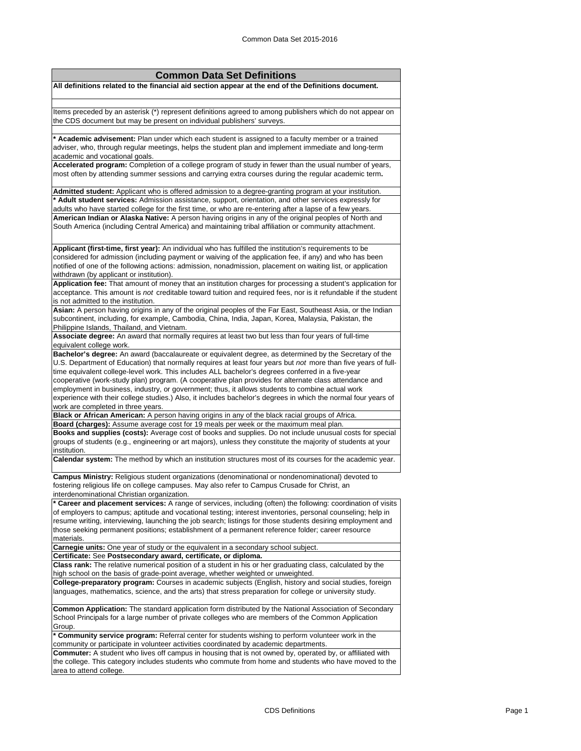| <b>Common Data Set Definitions</b>                                                                                                                                                                                                                                                                                           |
|------------------------------------------------------------------------------------------------------------------------------------------------------------------------------------------------------------------------------------------------------------------------------------------------------------------------------|
| All definitions related to the financial aid section appear at the end of the Definitions document.                                                                                                                                                                                                                          |
|                                                                                                                                                                                                                                                                                                                              |
| Items preceded by an asterisk (*) represent definitions agreed to among publishers which do not appear on<br>the CDS document but may be present on individual publishers' surveys.                                                                                                                                          |
| * Academic advisement: Plan under which each student is assigned to a faculty member or a trained                                                                                                                                                                                                                            |
| adviser, who, through regular meetings, helps the student plan and implement immediate and long-term<br>academic and vocational goals.                                                                                                                                                                                       |
| Accelerated program: Completion of a college program of study in fewer than the usual number of years,<br>most often by attending summer sessions and carrying extra courses during the regular academic term.                                                                                                               |
| Admitted student: Applicant who is offered admission to a degree-granting program at your institution.<br>* Adult student services: Admission assistance, support, orientation, and other services expressly for<br>adults who have started college for the first time, or who are re-entering after a lapse of a few years. |
| American Indian or Alaska Native: A person having origins in any of the original peoples of North and                                                                                                                                                                                                                        |
| South America (including Central America) and maintaining tribal affiliation or community attachment.                                                                                                                                                                                                                        |
| Applicant (first-time, first year): An individual who has fulfilled the institution's requirements to be                                                                                                                                                                                                                     |
| considered for admission (including payment or waiving of the application fee, if any) and who has been<br>notified of one of the following actions: admission, nonadmission, placement on waiting list, or application<br>withdrawn (by applicant or institution).                                                          |
| Application fee: That amount of money that an institution charges for processing a student's application for                                                                                                                                                                                                                 |
| acceptance. This amount is not creditable toward tuition and required fees, nor is it refundable if the student<br>is not admitted to the institution.                                                                                                                                                                       |
| Asian: A person having origins in any of the original peoples of the Far East, Southeast Asia, or the Indian                                                                                                                                                                                                                 |
| subcontinent, including, for example, Cambodia, China, India, Japan, Korea, Malaysia, Pakistan, the<br>Philippine Islands, Thailand, and Vietnam.                                                                                                                                                                            |
| Associate degree: An award that normally requires at least two but less than four years of full-time                                                                                                                                                                                                                         |
| equivalent college work.                                                                                                                                                                                                                                                                                                     |
| Bachelor's degree: An award (baccalaureate or equivalent degree, as determined by the Secretary of the<br>U.S. Department of Education) that normally requires at least four years but not more than five years of full-                                                                                                     |
| time equivalent college-level work. This includes ALL bachelor's degrees conferred in a five-year                                                                                                                                                                                                                            |
| cooperative (work-study plan) program. (A cooperative plan provides for alternate class attendance and                                                                                                                                                                                                                       |
| employment in business, industry, or government; thus, it allows students to combine actual work                                                                                                                                                                                                                             |
| experience with their college studies.) Also, it includes bachelor's degrees in which the normal four years of                                                                                                                                                                                                               |
| work are completed in three years.<br>Black or African American: A person having origins in any of the black racial groups of Africa.                                                                                                                                                                                        |
| Board (charges): Assume average cost for 19 meals per week or the maximum meal plan.                                                                                                                                                                                                                                         |
| Books and supplies (costs): Average cost of books and supplies. Do not include unusual costs for special                                                                                                                                                                                                                     |
| groups of students (e.g., engineering or art majors), unless they constitute the majority of students at your<br>institution.                                                                                                                                                                                                |
| Calendar system: The method by which an institution structures most of its courses for the academic year.                                                                                                                                                                                                                    |
| Campus Ministry: Religious student organizations (denominational or nondenominational) devoted to                                                                                                                                                                                                                            |
| fostering religious life on college campuses. May also refer to Campus Crusade for Christ, an<br>interdenominational Christian organization.                                                                                                                                                                                 |
| * Career and placement services: A range of services, including (often) the following: coordination of visits<br>of employers to campus; aptitude and vocational testing; interest inventories, personal counseling; help in                                                                                                 |
| resume writing, interviewing, launching the job search; listings for those students desiring employment and                                                                                                                                                                                                                  |
| those seeking permanent positions; establishment of a permanent reference folder; career resource<br>materials.                                                                                                                                                                                                              |
| Carnegie units: One year of study or the equivalent in a secondary school subject.                                                                                                                                                                                                                                           |
| Certificate: See Postsecondary award, certificate, or diploma.<br>Class rank: The relative numerical position of a student in his or her graduating class, calculated by the                                                                                                                                                 |
| high school on the basis of grade-point average, whether weighted or unweighted.                                                                                                                                                                                                                                             |
| College-preparatory program: Courses in academic subjects (English, history and social studies, foreign<br>languages, mathematics, science, and the arts) that stress preparation for college or university study.                                                                                                           |
| Common Application: The standard application form distributed by the National Association of Secondary<br>School Principals for a large number of private colleges who are members of the Common Application<br>Group.                                                                                                       |
| * Community service program: Referral center for students wishing to perform volunteer work in the<br>community or participate in volunteer activities coordinated by academic departments.                                                                                                                                  |
| Commuter: A student who lives off campus in housing that is not owned by, operated by, or affiliated with                                                                                                                                                                                                                    |
| the college. This category includes students who commute from home and students who have moved to the                                                                                                                                                                                                                        |
| area to attend college.                                                                                                                                                                                                                                                                                                      |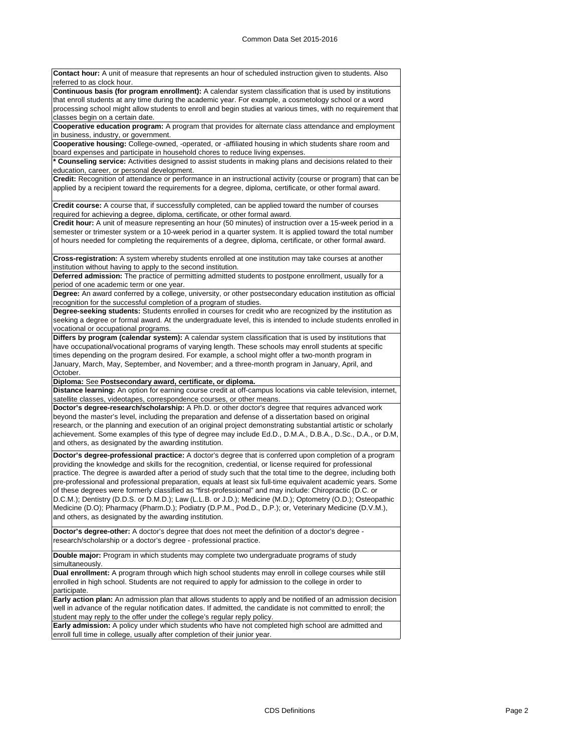**Contact hour:** A unit of measure that represents an hour of scheduled instruction given to students. Also referred to as clock hour **Continuous basis (for program enrollment):** A calendar system classification that is used by institutions that enroll students at any time during the academic year. For example, a cosmetology school or a word processing school might allow students to enroll and begin studies at various times, with no requirement that classes begin on a certain date. **Cooperative education program:** A program that provides for alternate class attendance and employment in business, industry, or government. **Cooperative housing:** College-owned, -operated, or -affiliated housing in which students share room and board expenses and participate in household chores to reduce living expenses. **\* Counseling service:** Activities designed to assist students in making plans and decisions related to their education, career, or personal development. **Credit:** Recognition of attendance or performance in an instructional activity (course or program) that can be applied by a recipient toward the requirements for a degree, diploma, certificate, or other formal award. **Credit course:** A course that, if successfully completed, can be applied toward the number of courses required for achieving a degree, diploma, certificate, or other formal award. **Credit hour:** A unit of measure representing an hour (50 minutes) of instruction over a 15-week period in a semester or trimester system or a 10-week period in a quarter system. It is applied toward the total number of hours needed for completing the requirements of a degree, diploma, certificate, or other formal award. **Cross-registration:** A system whereby students enrolled at one institution may take courses at another institution without having to apply to the second institution.

**Deferred admission:** The practice of permitting admitted students to postpone enrollment, usually for a period of one academic term or one year.

**Degree:** An award conferred by a college, university, or other postsecondary education institution as official recognition for the successful completion of a program of studies.

**Degree-seeking students:** Students enrolled in courses for credit who are recognized by the institution as seeking a degree or formal award. At the undergraduate level, this is intended to include students enrolled in vocational or occupational programs.

**Differs by program (calendar system):** A calendar system classification that is used by institutions that have occupational/vocational programs of varying length. These schools may enroll students at specific times depending on the program desired. For example, a school might offer a two-month program in January, March, May, September, and November; and a three-month program in January, April, and October.

**Diploma:** See **Postsecondary award, certificate, or diploma.**

**Distance learning:** An option for earning course credit at off-campus locations via cable television, internet, satellite classes, videotapes, correspondence courses, or other means.

**Doctor's degree-research/scholarship:** A Ph.D. or other doctor's degree that requires advanced work beyond the master's level, including the preparation and defense of a dissertation based on original research, or the planning and execution of an original project demonstrating substantial artistic or scholarly achievement. Some examples of this type of degree may include Ed.D., D.M.A., D.B.A., D.Sc., D.A., or D.M, and others, as designated by the awarding institution.

**Doctor's degree-professional practice:** A doctor's degree that is conferred upon completion of a program providing the knowledge and skills for the recognition, credential, or license required for professional practice. The degree is awarded after a period of study such that the total time to the degree, including both pre-professional and professional preparation, equals at least six full-time equivalent academic years. Some of these degrees were formerly classified as "first-professional" and may include: Chiropractic (D.C. or D.C.M.); Dentistry (D.D.S. or D.M.D.); Law (L.L.B. or J.D.); Medicine (M.D.); Optometry (O.D.); Osteopathic Medicine (D.O); Pharmacy (Pharm.D.); Podiatry (D.P.M., Pod.D., D.P.); or, Veterinary Medicine (D.V.M.), and others, as designated by the awarding institution.

**Doctor's degree-other:** A doctor's degree that does not meet the definition of a doctor's degree research/scholarship or a doctor's degree - professional practice.

**Double major:** Program in which students may complete two undergraduate programs of study simultaneously.

**Dual enrollment:** A program through which high school students may enroll in college courses while still enrolled in high school. Students are not required to apply for admission to the college in order to participate.

**Early action plan:** An admission plan that allows students to apply and be notified of an admission decision well in advance of the regular notification dates. If admitted, the candidate is not committed to enroll; the student may reply to the offer under the college's regular reply policy.

**Early admission:** A policy under which students who have not completed high school are admitted and enroll full time in college, usually after completion of their junior year.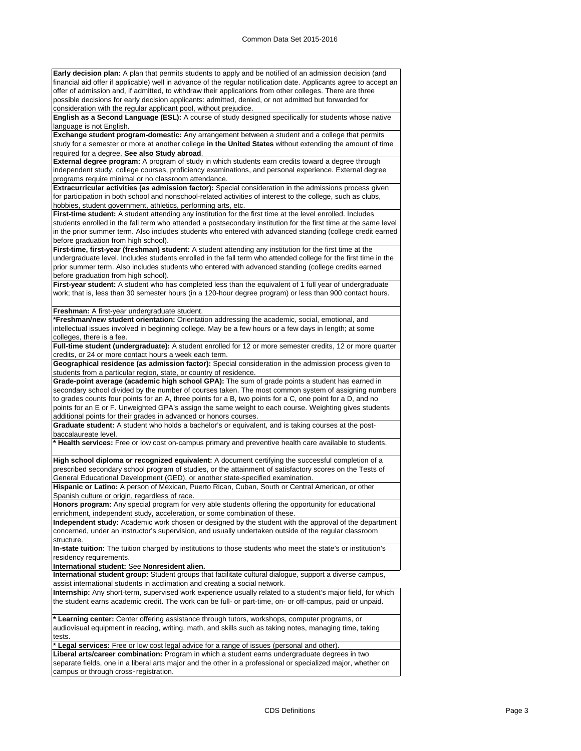**Early decision plan:** A plan that permits students to apply and be notified of an admission decision (and financial aid offer if applicable) well in advance of the regular notification date. Applicants agree to accept an offer of admission and, if admitted, to withdraw their applications from other colleges. There are three possible decisions for early decision applicants: admitted, denied, or not admitted but forwarded for consideration with the regular applicant pool, without prejudice.

**English as a Second Language (ESL):** A course of study designed specifically for students whose native language is not English.

**Exchange student program-domestic:** Any arrangement between a student and a college that permits study for a semester or more at another college **in the United States** without extending the amount of time required for a degree. **See also Study abroad**.

**External degree program:** A program of study in which students earn credits toward a degree through independent study, college courses, proficiency examinations, and personal experience. External degree programs require minimal or no classroom attendance.

**Extracurricular activities (as admission factor):** Special consideration in the admissions process given for participation in both school and nonschool-related activities of interest to the college, such as clubs, hobbies, student government, athletics, performing arts, etc.

First-time student: A student attending any institution for the first time at the level enrolled. Includes students enrolled in the fall term who attended a postsecondary institution for the first time at the same level in the prior summer term. Also includes students who entered with advanced standing (college credit earned before graduation from high school).

**First-time, first-year (freshman) student:** A student attending any institution for the first time at the undergraduate level. Includes students enrolled in the fall term who attended college for the first time in the prior summer term. Also includes students who entered with advanced standing (college credits earned before graduation from high school).

First-year student: A student who has completed less than the equivalent of 1 full year of undergraduate work; that is, less than 30 semester hours (in a 120-hour degree program) or less than 900 contact hours.

**Freshman:** A first-year undergraduate student.

**\*Freshman/new student orientation:** Orientation addressing the academic, social, emotional, and intellectual issues involved in beginning college. May be a few hours or a few days in length; at some colleges, there is a fee.

**Full-time student (undergraduate):** A student enrolled for 12 or more semester credits, 12 or more quarter credits, or 24 or more contact hours a week each term.

**Geographical residence (as admission factor):** Special consideration in the admission process given to students from a particular region, state, or country of residence.

**Grade-point average (academic high school GPA):** The sum of grade points a student has earned in secondary school divided by the number of courses taken. The most common system of assigning numbers to grades counts four points for an A, three points for a B, two points for a C, one point for a D, and no points for an E or F. Unweighted GPA's assign the same weight to each course. Weighting gives students additional points for their grades in advanced or honors courses.

**Graduate student:** A student who holds a bachelor's or equivalent, and is taking courses at the postbaccalaureate level.

**\* Health services:** Free or low cost on-campus primary and preventive health care available to students.

**High school diploma or recognized equivalent:** A document certifying the successful completion of a prescribed secondary school program of studies, or the attainment of satisfactory scores on the Tests of General Educational Development (GED), or another state-specified examination.

**Hispanic or Latino:** A person of Mexican, Puerto Rican, Cuban, South or Central American, or other Spanish culture or origin, regardless of race.

**Honors program:** Any special program for very able students offering the opportunity for educational enrichment, independent study, acceleration, or some combination of these.

**Independent study:** Academic work chosen or designed by the student with the approval of the department concerned, under an instructor's supervision, and usually undertaken outside of the regular classroom structure.

**In-state tuition:** The tuition charged by institutions to those students who meet the state's or institution's residency requirements.

**International student:** See **Nonresident alien.**

**International student group:** Student groups that facilitate cultural dialogue, support a diverse campus, assist international students in acclimation and creating a social network.

**Internship:** Any short-term, supervised work experience usually related to a student's major field, for which the student earns academic credit. The work can be full- or part-time, on- or off-campus, paid or unpaid.

**\* Learning center:** Center offering assistance through tutors, workshops, computer programs, or audiovisual equipment in reading, writing, math, and skills such as taking notes, managing time, taking tests.

**\* Legal services:** Free or low cost legal advice for a range of issues (personal and other).

**Liberal arts/career combination:** Program in which a student earns undergraduate degrees in two separate fields, one in a liberal arts major and the other in a professional or specialized major, whether on campus or through cross‑registration.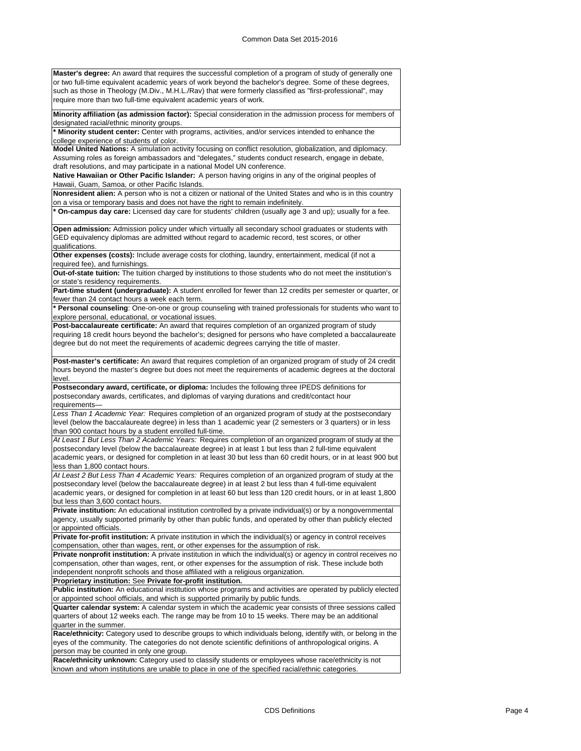**Master's degree:** An award that requires the successful completion of a program of study of generally one or two full-time equivalent academic years of work beyond the bachelor's degree. Some of these degrees, such as those in Theology (M.Div., M.H.L./Rav) that were formerly classified as "first-professional", may require more than two full-time equivalent academic years of work.

**Minority affiliation (as admission factor):** Special consideration in the admission process for members of designated racial/ethnic minority groups.

**\* Minority student center:** Center with programs, activities, and/or services intended to enhance the college experience of students of color.

**Model United Nations:** A simulation activity focusing on conflict resolution, globalization, and diplomacy. Assuming roles as foreign ambassadors and "delegates," students conduct research, engage in debate, draft resolutions, and may participate in a national Model UN conference.

**Native Hawaiian or Other Pacific Islander:** A person having origins in any of the original peoples of Hawaii, Guam, Samoa, or other Pacific Islands.

**Nonresident alien:** A person who is not a citizen or national of the United States and who is in this country on a visa or temporary basis and does not have the right to remain indefinitely.

**\* On-campus day care:** Licensed day care for students' children (usually age 3 and up); usually for a fee.

**Open admission:** Admission policy under which virtually all secondary school graduates or students with GED equivalency diplomas are admitted without regard to academic record, test scores, or other qualifications.

**Other expenses (costs):** Include average costs for clothing, laundry, entertainment, medical (if not a required fee), and furnishings.

**Out-of-state tuition:** The tuition charged by institutions to those students who do not meet the institution's or state's residency requirements.

Part-time student (undergraduate): A student enrolled for fewer than 12 credits per semester or quarter, or fewer than 24 contact hours a week each term.

**\* Personal counseling**: One-on-one or group counseling with trained professionals for students who want to explore personal, educational, or vocational issues.

**Post-baccalaureate certificate:** An award that requires completion of an organized program of study requiring 18 credit hours beyond the bachelor's; designed for persons who have completed a baccalaureate degree but do not meet the requirements of academic degrees carrying the title of master.

**Post-master's certificate:** An award that requires completion of an organized program of study of 24 credit hours beyond the master's degree but does not meet the requirements of academic degrees at the doctoral level.

**Postsecondary award, certificate, or diploma:** Includes the following three IPEDS definitions for postsecondary awards, certificates, and diplomas of varying durations and credit/contact hour requirements—

*Less Than 1 Academic Year:* Requires completion of an organized program of study at the postsecondary level (below the baccalaureate degree) in less than 1 academic year (2 semesters or 3 quarters) or in less than 900 contact hours by a student enrolled full-time.

*At Least 1 But Less Than 2 Academic Years:* Requires completion of an organized program of study at the postsecondary level (below the baccalaureate degree) in at least 1 but less than 2 full-time equivalent academic years, or designed for completion in at least 30 but less than 60 credit hours, or in at least 900 but less than 1,800 contact hours.

*At Least 2 But Less Than 4 Academic Years:* Requires completion of an organized program of study at the postsecondary level (below the baccalaureate degree) in at least 2 but less than 4 full-time equivalent academic years, or designed for completion in at least 60 but less than 120 credit hours, or in at least 1,800 but less than 3,600 contact hours.

**Private institution:** An educational institution controlled by a private individual(s) or by a nongovernmental agency, usually supported primarily by other than public funds, and operated by other than publicly elected or appointed officials.

**Private for-profit institution:** A private institution in which the individual(s) or agency in control receives compensation, other than wages, rent, or other expenses for the assumption of risk.

**Private nonprofit institution:** A private institution in which the individual(s) or agency in control receives no compensation, other than wages, rent, or other expenses for the assumption of risk. These include both independent nonprofit schools and those affiliated with a religious organization.

**Proprietary institution:** See **Private for-profit institution.**

**Public institution:** An educational institution whose programs and activities are operated by publicly elected or appointed school officials, and which is supported primarily by public funds.

**Quarter calendar system:** A calendar system in which the academic year consists of three sessions called quarters of about 12 weeks each. The range may be from 10 to 15 weeks. There may be an additional quarter in the summer.

**Race/ethnicity:** Category used to describe groups to which individuals belong, identify with, or belong in the eyes of the community. The categories do not denote scientific definitions of anthropological origins. A person may be counted in only one group.

**Race/ethnicity unknown:** Category used to classify students or employees whose race/ethnicity is not known and whom institutions are unable to place in one of the specified racial/ethnic categories.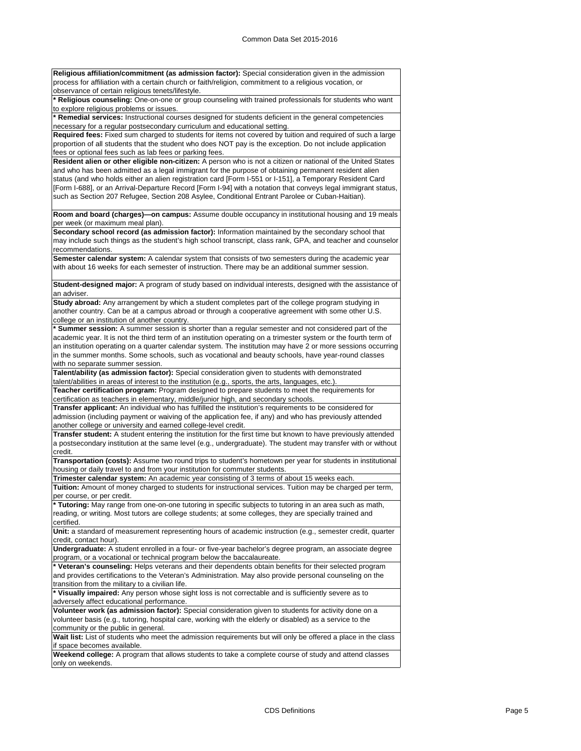**Religious affiliation/commitment (as admission factor):** Special consideration given in the admission process for affiliation with a certain church or faith/religion, commitment to a religious vocation, or observance of certain religious tenets/lifestyle.

**\* Religious counseling:** One-on-one or group counseling with trained professionals for students who want to explore religious problems or issues.

**\* Remedial services:** Instructional courses designed for students deficient in the general competencies necessary for a regular postsecondary curriculum and educational setting.

**Required fees:** Fixed sum charged to students for items not covered by tuition and required of such a large proportion of all students that the student who does NOT pay is the exception. Do not include application fees or optional fees such as lab fees or parking fees.

**Resident alien or other eligible non-citizen:** A person who is not a citizen or national of the United States and who has been admitted as a legal immigrant for the purpose of obtaining permanent resident alien status (and who holds either an alien registration card [Form I-551 or I-151], a Temporary Resident Card [Form I-688], or an Arrival-Departure Record [Form I-94] with a notation that conveys legal immigrant status, such as Section 207 Refugee, Section 208 Asylee, Conditional Entrant Parolee or Cuban-Haitian).

**Room and board (charges)—on campus:** Assume double occupancy in institutional housing and 19 meals per week (or maximum meal plan).

**Secondary school record (as admission factor):** Information maintained by the secondary school that may include such things as the student's high school transcript, class rank, GPA, and teacher and counselor recommendations.

**Semester calendar system:** A calendar system that consists of two semesters during the academic year with about 16 weeks for each semester of instruction. There may be an additional summer session.

**Student-designed major:** A program of study based on individual interests, designed with the assistance of an adviser

**Study abroad:** Any arrangement by which a student completes part of the college program studying in another country. Can be at a campus abroad or through a cooperative agreement with some other U.S. college or an institution of another country.

**\* Summer session:** A summer session is shorter than a regular semester and not considered part of the academic year. It is not the third term of an institution operating on a trimester system or the fourth term of an institution operating on a quarter calendar system. The institution may have 2 or more sessions occurring in the summer months. Some schools, such as vocational and beauty schools, have year-round classes with no separate summer session

**Talent/ability (as admission factor):** Special consideration given to students with demonstrated

talent/abilities in areas of interest to the institution (e.g., sports, the arts, languages, etc.). **Teacher certification program:** Program designed to prepare students to meet the requirements for

certification as teachers in elementary, middle/junior high, and secondary schools. **Transfer applicant:** An individual who has fulfilled the institution's requirements to be considered for

admission (including payment or waiving of the application fee, if any) and who has previously attended another college or university and earned college-level credit.

**Transfer student:** A student entering the institution for the first time but known to have previously attended a postsecondary institution at the same level (e.g., undergraduate). The student may transfer with or without credit.

**Transportation (costs):** Assume two round trips to student's hometown per year for students in institutional housing or daily travel to and from your institution for commuter students.

**Trimester calendar system:** An academic year consisting of 3 terms of about 15 weeks each.

**Tuition:** Amount of money charged to students for instructional services. Tuition may be charged per term, per course, or per credit

**\* Tutoring:** May range from one-on-one tutoring in specific subjects to tutoring in an area such as math, reading, or writing. Most tutors are college students; at some colleges, they are specially trained and certified.

**Unit:** a standard of measurement representing hours of academic instruction (e.g., semester credit, quarter credit, contact hour).

**Undergraduate:** A student enrolled in a four- or five-year bachelor's degree program, an associate degree program, or a vocational or technical program below the baccalaureate.

**\* Veteran's counseling:** Helps veterans and their dependents obtain benefits for their selected program and provides certifications to the Veteran's Administration. May also provide personal counseling on the transition from the military to a civilian life.

**\* Visually impaired:** Any person whose sight loss is not correctable and is sufficiently severe as to adversely affect educational performance.

**Volunteer work (as admission factor):** Special consideration given to students for activity done on a volunteer basis (e.g., tutoring, hospital care, working with the elderly or disabled) as a service to the community or the public in general.

Wait list: List of students who meet the admission requirements but will only be offered a place in the class if space becomes available.

**Weekend college:** A program that allows students to take a complete course of study and attend classes only on weekends